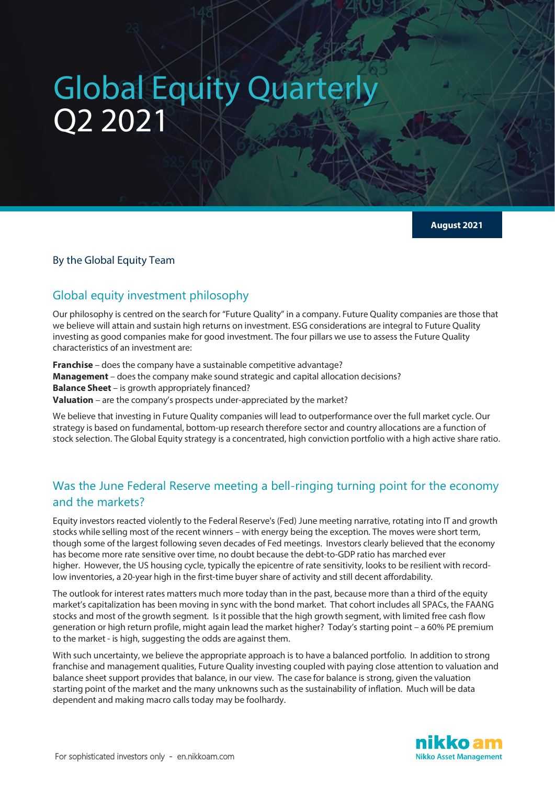# Global Equity Quarterly Q2 2021

**August 2021**

### By the Global Equity Team

# Global equity investment philosophy

Our philosophy is centred on the search for "Future Quality" in a company. Future Quality companies are those that we believe will attain and sustain high returns on investment. ESG considerations are integral to Future Quality investing as good companies make for good investment. The four pillars we use to assess the Future Quality characteristics of an investment are:

**Franchise** – does the company have a sustainable competitive advantage? **Management** – does the company make sound strategic and capital allocation decisions? **Balance Sheet** – is growth appropriately financed? **Valuation** – are the company's prospects under-appreciated by the market?

We believe that investing in Future Quality companies will lead to outperformance over the full market cycle. Our strategy is based on fundamental, bottom-up research therefore sector and country allocations are a function of stock selection. The Global Equity strategy is a concentrated, high conviction portfolio with a high active share ratio.

# Was the June Federal Reserve meeting a bell-ringing turning point for the economy and the markets?

Equity investors reacted violently to the Federal Reserve's (Fed) June meeting narrative, rotating into IT and growth stocks while selling most of the recent winners – with energy being the exception. The moves were short term, though some of the largest following seven decades of Fed meetings. Investors clearly believed that the economy has become more rate sensitive over time, no doubt because the debt-to-GDP ratio has marched ever higher. However, the US housing cycle, typically the epicentre of rate sensitivity, looks to be resilient with recordlow inventories, a 20-year high in the first-time buyer share of activity and still decent affordability.

The outlook for interest rates matters much more today than in the past, because more than a third of the equity market's capitalization has been moving in sync with the bond market. That cohort includes all SPACs, the FAANG stocks and most of the growth segment. Is it possible that the high growth segment, with limited free cash flow generation or high return profile, might again lead the market higher? Today's starting point – a 60% PE premium to the market - is high, suggesting the odds are against them.

With such uncertainty, we believe the appropriate approach is to have a balanced portfolio. In addition to strong franchise and management qualities, Future Quality investing coupled with paying close attention to valuation and balance sheet support provides that balance, in our view. The case for balance is strong, given the valuation starting point of the market and the many unknowns such as the sustainability of inflation. Much will be data dependent and making macro calls today may be foolhardy.

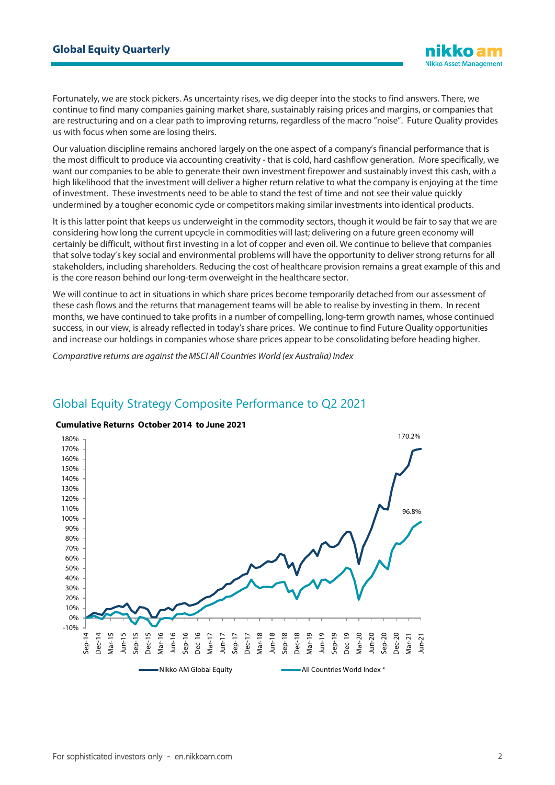Fortunately, we are stock pickers. As uncertainty rises, we dig deeper into the stocks to find answers. There, we continue to find many companies gaining market share, sustainably raising prices and margins, or companies that are restructuring and on a clear path to improving returns, regardless of the macro "noise". Future Quality provides us with focus when some are losing theirs.

Our valuation discipline remains anchored largely on the one aspect of a company's financial performance that is the most difficult to produce via accounting creativity - that is cold, hard cashflow generation. More specifically, we want our companies to be able to generate their own investment firepower and sustainably invest this cash, with a high likelihood that the investment will deliver a higher return relative to what the company is enjoying at the time of investment. These investments need to be able to stand the test of time and not see their value quickly undermined by a tougher economic cycle or competitors making similar investments into identical products.

It is this latter point that keeps us underweight in the commodity sectors, though it would be fair to say that we are considering how long the current upcycle in commodities will last; delivering on a future green economy will certainly be difficult, without first investing in a lot of copper and even oil. We continue to believe that companies that solve today's key social and environmental problems will have the opportunity to deliver strong returns for all stakeholders, including shareholders. Reducing the cost of healthcare provision remains a great example of this and is the core reason behind our long-term overweight in the healthcare sector.

We will continue to act in situations in which share prices become temporarily detached from our assessment of these cash flows and the returns that management teams will be able to realise by investing in them. In recent months, we have continued to take profits in a number of compelling, long-term growth names, whose continued success, in our view, is already reflected in today's share prices. We continue to find Future Quality opportunities and increase our holdings in companies whose share prices appear to be consolidating before heading higher.

*Comparative returns are against the MSCI All Countries World (ex Australia) Index*

# Global Equity Strategy Composite Performance to Q2 2021

#### **Cumulative Returns October 2014 to June 2021**

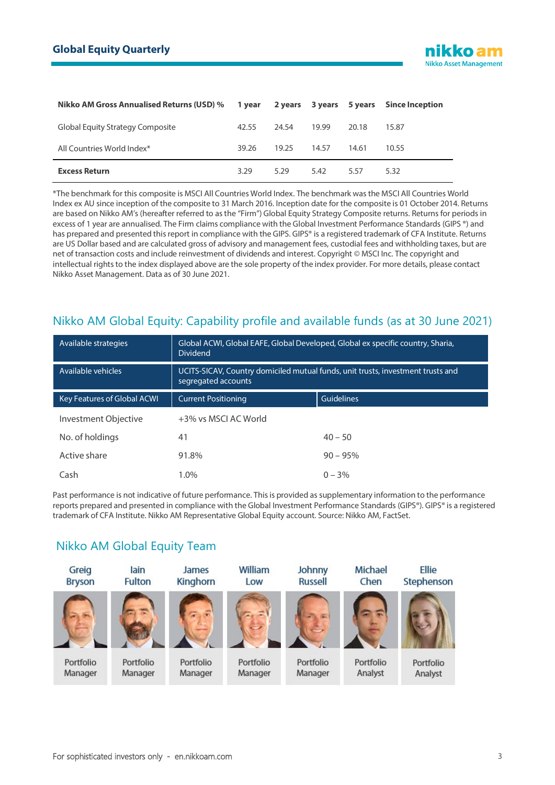

| Nikko AM Gross Annualised Returns (USD) % 1 year 2 years 3 years 5 years Since Inception |       |       |       |       |       |
|------------------------------------------------------------------------------------------|-------|-------|-------|-------|-------|
| <b>Global Equity Strategy Composite</b>                                                  | 42.55 | 24.54 | 19.99 | 20.18 | 15.87 |
| All Countries World Index*                                                               | 39.26 | 19.25 | 14.57 | 14.61 | 10.55 |
| <b>Excess Return</b>                                                                     | 3.29  | 5.29  | 5.42  | 5.57  | 5.32  |

\*The benchmark for this composite is MSCI All Countries World Index. The benchmark was the MSCI All Countries World Index ex AU since inception of the composite to 31 March 2016. Inception date for the composite is 01 October 2014. Returns are based on Nikko AM's (hereafter referred to as the "Firm") Global Equity Strategy Composite returns. Returns for periods in excess of 1 year are annualised. The Firm claims compliance with the Global Investment Performance Standards (GIPS ®) and has prepared and presented this report in compliance with the GIPS. GIPS® is a registered trademark of CFA Institute. Returns are US Dollar based and are calculated gross of advisory and management fees, custodial fees and withholding taxes, but are net of transaction costs and include reinvestment of dividends and interest. Copyright © MSCI Inc. The copyright and intellectual rights to the index displayed above are the sole property of the index provider. For more details, please contact Nikko Asset Management. Data as of 30 June 2021.

# Nikko AM Global Equity: Capability profile and available funds (as at 30 June 2021)

| Available strategies        | Global ACWI, Global EAFE, Global Developed, Global ex specific country, Sharia,<br><b>Dividend</b>     |                   |  |  |
|-----------------------------|--------------------------------------------------------------------------------------------------------|-------------------|--|--|
| Available vehicles          | UCITS-SICAV, Country domiciled mutual funds, unit trusts, investment trusts and<br>segregated accounts |                   |  |  |
| Key Features of Global ACWI | <b>Current Positioning</b>                                                                             | <b>Guidelines</b> |  |  |
| Investment Objective        | +3% vs MSCI AC World                                                                                   |                   |  |  |
| No. of holdings             | 41                                                                                                     | $40 - 50$         |  |  |
| Active share                | 91.8%                                                                                                  | $90 - 95%$        |  |  |
| Cash                        | 1.0%                                                                                                   | $0 - 3\%$         |  |  |

Past performance is not indicative of future performance. This is provided as supplementary information to the performance reports prepared and presented in compliance with the Global Investment Performance Standards (GIPS®). GIPS® is a registered trademark of CFA Institute. Nikko AM Representative Global Equity account. Source: Nikko AM, FactSet.

# Nikko AM Global Equity Team

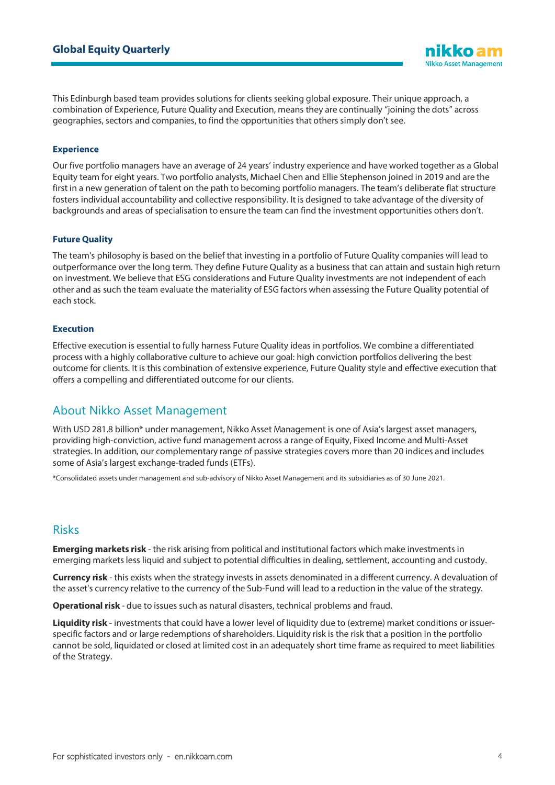This Edinburgh based team provides solutions for clients seeking global exposure. Their unique approach, a combination of Experience, Future Quality and Execution, means they are continually "joining the dots" across geographies, sectors and companies, to find the opportunities that others simply don't see.

#### **Experience**

Our five portfolio managers have an average of 24 years' industry experience and have worked together as a Global Equity team for eight years. Two portfolio analysts, Michael Chen and Ellie Stephenson joined in 2019 and are the first in a new generation of talent on the path to becoming portfolio managers. The team's deliberate flat structure fosters individual accountability and collective responsibility. It is designed to take advantage of the diversity of backgrounds and areas of specialisation to ensure the team can find the investment opportunities others don't.

#### **Future Quality**

The team's philosophy is based on the belief that investing in a portfolio of Future Quality companies will lead to outperformance over the long term. They define Future Quality as a business that can attain and sustain high return on investment. We believe that ESG considerations and Future Quality investments are not independent of each other and as such the team evaluate the materiality of ESG factors when assessing the Future Quality potential of each stock.

#### **Execution**

Effective execution is essential to fully harness Future Quality ideas in portfolios. We combine a differentiated process with a highly collaborative culture to achieve our goal: high conviction portfolios delivering the best outcome for clients. It is this combination of extensive experience, Future Quality style and effective execution that offers a compelling and differentiated outcome for our clients.

## About Nikko Asset Management

With USD 281.8 billion\* under management, Nikko Asset Management is one of Asia's largest asset managers, providing high-conviction, active fund management across a range of Equity, Fixed Income and Multi-Asset strategies. In addition, our complementary range of passive strategies covers more than 20 indices and includes some of Asia's largest exchange-traded funds (ETFs).

\*Consolidated assets under management and sub-advisory of Nikko Asset Management and its subsidiaries as of 30 June 2021.

## Risks

**Emerging markets risk** - the risk arising from political and institutional factors which make investments in emerging markets less liquid and subject to potential difficulties in dealing, settlement, accounting and custody.

**Currency risk** - this exists when the strategy invests in assets denominated in a different currency. A devaluation of the asset's currency relative to the currency of the Sub-Fund will lead to a reduction in the value of the strategy.

**Operational risk** - due to issues such as natural disasters, technical problems and fraud.

**Liquidity risk** - investments that could have a lower level of liquidity due to (extreme) market conditions or issuerspecific factors and or large redemptions of shareholders. Liquidity risk is the risk that a position in the portfolio cannot be sold, liquidated or closed at limited cost in an adequately short time frame as required to meet liabilities of the Strategy.

**Nikko Asset Management**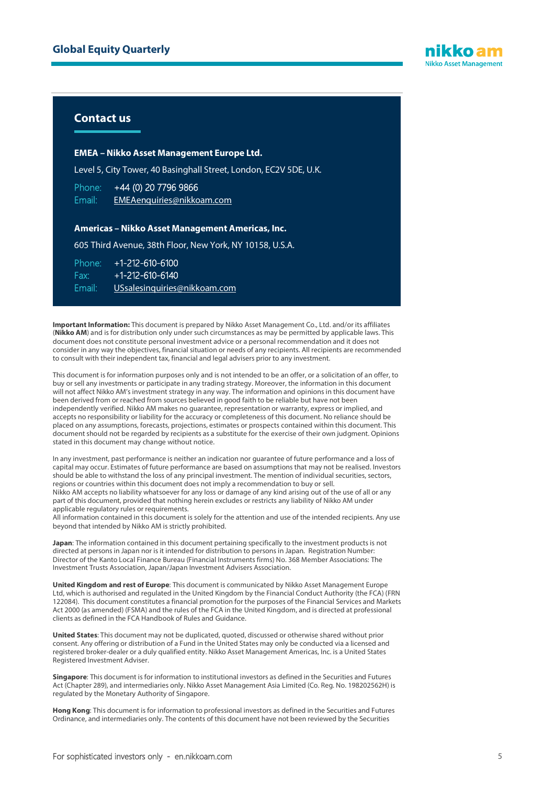

## **Contact us**

#### **EMEA – Nikko Asset Management Europe Ltd.**

Level 5, City Tower, 40 Basinghall Street, London, EC2V 5DE, U.K.

Phone: +44 (0) 20 7796 9866 Email: [EMEAenquiries@nikkoam.com](mailto:EMEAenquiries@nikkoam.com)

#### **Americas – Nikko Asset Management Americas, Inc.**

605 Third Avenue, 38th Floor, New York, NY 10158, U.S.A.

Phone: +1-212-610-6100 Fax: +1-212-610-6140 Email: [USsalesinquiries@nikkoam.com](mailto:USSalesInquiries@nikkoam.com?subject=Web%20enquiry)

**Important Information:** This document is prepared by Nikko Asset Management Co., Ltd. and/or its affiliates (**Nikko AM**) and is for distribution only under such circumstances as may be permitted by applicable laws. This document does not constitute personal investment advice or a personal recommendation and it does not consider in any way the objectives, financial situation or needs of any recipients. All recipients are recommended to consult with their independent tax, financial and legal advisers prior to any investment.

This document is for information purposes only and is not intended to be an offer, or a solicitation of an offer, to buy or sell any investments or participate in any trading strategy. Moreover, the information in this document will not affect Nikko AM's investment strategy in any way. The information and opinions in this document have been derived from or reached from sources believed in good faith to be reliable but have not been independently verified. Nikko AM makes no guarantee, representation or warranty, express or implied, and accepts no responsibility or liability for the accuracy or completeness of this document. No reliance should be placed on any assumptions, forecasts, projections, estimates or prospects contained within this document. This document should not be regarded by recipients as a substitute for the exercise of their own judgment. Opinions stated in this document may change without notice.

In any investment, past performance is neither an indication nor guarantee of future performance and a loss of capital may occur. Estimates of future performance are based on assumptions that may not be realised. Investors should be able to withstand the loss of any principal investment. The mention of individual securities, sectors, regions or countries within this document does not imply a recommendation to buy or sell. Nikko AM accepts no liability whatsoever for any loss or damage of any kind arising out of the use of all or any part of this document, provided that nothing herein excludes or restricts any liability of Nikko AM under applicable regulatory rules or requirements.

All information contained in this document is solely for the attention and use of the intended recipients. Any use beyond that intended by Nikko AM is strictly prohibited.

**Japan**: The information contained in this document pertaining specifically to the investment products is not directed at persons in Japan nor is it intended for distribution to persons in Japan. Registration Number: Director of the Kanto Local Finance Bureau (Financial Instruments firms) No. 368 Member Associations: The Investment Trusts Association, Japan/Japan Investment Advisers Association.

**United Kingdom and rest of Europe**: This document is communicated by Nikko Asset Management Europe Ltd, which is authorised and regulated in the United Kingdom by the Financial Conduct Authority (the FCA) (FRN 122084). This document constitutes a financial promotion for the purposes of the Financial Services and Markets Act 2000 (as amended) (FSMA) and the rules of the FCA in the United Kingdom, and is directed at professional clients as defined in the FCA Handbook of Rules and Guidance.

**United States**: This document may not be duplicated, quoted, discussed or otherwise shared without prior consent. Any offering or distribution of a Fund in the United States may only be conducted via a licensed and registered broker-dealer or a duly qualified entity. Nikko Asset Management Americas, Inc. is a United States Registered Investment Adviser.

**Singapore**: This document is for information to institutional investors as defined in the Securities and Futures Act (Chapter 289), and intermediaries only. Nikko Asset Management Asia Limited (Co. Reg. No. 198202562H) is regulated by the Monetary Authority of Singapore.

**Hong Kong**: This document is for information to professional investors as defined in the Securities and Futures Ordinance, and intermediaries only. The contents of this document have not been reviewed by the Securities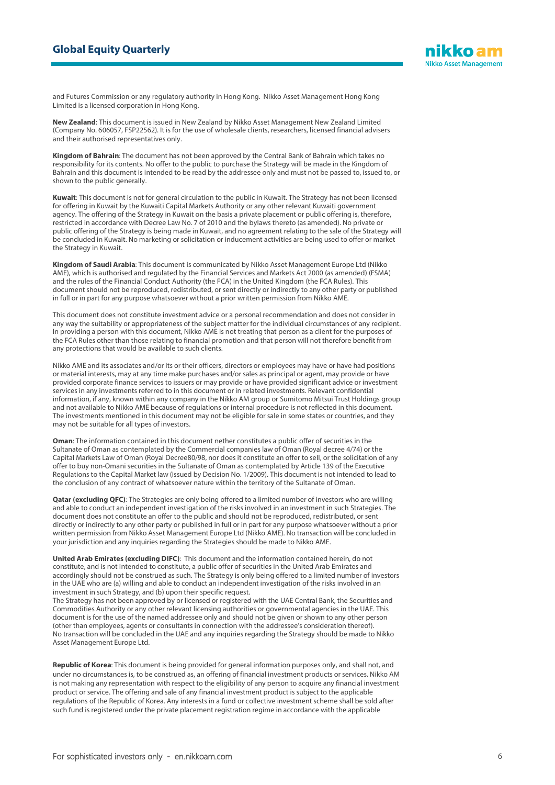

and Futures Commission or any regulatory authority in Hong Kong. Nikko Asset Management Hong Kong Limited is a licensed corporation in Hong Kong.

**New Zealand**: This document is issued in New Zealand by Nikko Asset Management New Zealand Limited (Company No. 606057, FSP22562). It is for the use of wholesale clients, researchers, licensed financial advisers and their authorised representatives only.

**Kingdom of Bahrain**: The document has not been approved by the Central Bank of Bahrain which takes no responsibility for its contents. No offer to the public to purchase the Strategy will be made in the Kingdom of Bahrain and this document is intended to be read by the addressee only and must not be passed to, issued to, or shown to the public generally.

**Kuwait**: This document is not for general circulation to the public in Kuwait. The Strategy has not been licensed for offering in Kuwait by the Kuwaiti Capital Markets Authority or any other relevant Kuwaiti government agency. The offering of the Strategy in Kuwait on the basis a private placement or public offering is, therefore, restricted in accordance with Decree Law No. 7 of 2010 and the bylaws thereto (as amended). No private or public offering of the Strategy is being made in Kuwait, and no agreement relating to the sale of the Strategy will be concluded in Kuwait. No marketing or solicitation or inducement activities are being used to offer or market the Strategy in Kuwait.

**Kingdom of Saudi Arabia**: This document is communicated by Nikko Asset Management Europe Ltd (Nikko AME), which is authorised and regulated by the Financial Services and Markets Act 2000 (as amended) (FSMA) and the rules of the Financial Conduct Authority (the FCA) in the United Kingdom (the FCA Rules). This document should not be reproduced, redistributed, or sent directly or indirectly to any other party or published in full or in part for any purpose whatsoever without a prior written permission from Nikko AME.

This document does not constitute investment advice or a personal recommendation and does not consider in any way the suitability or appropriateness of the subject matter for the individual circumstances of any recipient. In providing a person with this document, Nikko AME is not treating that person as a client for the purposes of the FCA Rules other than those relating to financial promotion and that person will not therefore benefit from any protections that would be available to such clients.

Nikko AME and its associates and/or its or their officers, directors or employees may have or have had positions or material interests, may at any time make purchases and/or sales as principal or agent, may provide or have provided corporate finance services to issuers or may provide or have provided significant advice or investment services in any investments referred to in this document or in related investments. Relevant confidential information, if any, known within any company in the Nikko AM group or Sumitomo Mitsui Trust Holdings group and not available to Nikko AME because of regulations or internal procedure is not reflected in this document. The investments mentioned in this document may not be eligible for sale in some states or countries, and they may not be suitable for all types of investors.

**Oman**: The information contained in this document nether constitutes a public offer of securities in the Sultanate of Oman as contemplated by the Commercial companies law of Oman (Royal decree 4/74) or the Capital Markets Law of Oman (Royal Decree80/98, nor does it constitute an offer to sell, or the solicitation of any offer to buy non-Omani securities in the Sultanate of Oman as contemplated by Article 139 of the Executive Regulations to the Capital Market law (issued by Decision No. 1/2009). This document is not intended to lead to the conclusion of any contract of whatsoever nature within the territory of the Sultanate of Oman.

**Qatar (excluding QFC)**: The Strategies are only being offered to a limited number of investors who are willing and able to conduct an independent investigation of the risks involved in an investment in such Strategies. The document does not constitute an offer to the public and should not be reproduced, redistributed, or sent directly or indirectly to any other party or published in full or in part for any purpose whatsoever without a prior written permission from Nikko Asset Management Europe Ltd (Nikko AME). No transaction will be concluded in your jurisdiction and any inquiries regarding the Strategies should be made to Nikko AME.

**United Arab Emirates (excluding DIFC)**: This document and the information contained herein, do not constitute, and is not intended to constitute, a public offer of securities in the United Arab Emirates and accordingly should not be construed as such. The Strategy is only being offered to a limited number of investors in the UAE who are (a) willing and able to conduct an independent investigation of the risks involved in an investment in such Strategy, and (b) upon their specific request.

The Strategy has not been approved by or licensed or registered with the UAE Central Bank, the Securities and Commodities Authority or any other relevant licensing authorities or governmental agencies in the UAE. This document is for the use of the named addressee only and should not be given or shown to any other person (other than employees, agents or consultants in connection with the addressee's consideration thereof). No transaction will be concluded in the UAE and any inquiries regarding the Strategy should be made to Nikko Asset Management Europe Ltd.

**Republic of Korea**: This document is being provided for general information purposes only, and shall not, and under no circumstances is, to be construed as, an offering of financial investment products or services. Nikko AM is not making any representation with respect to the eligibility of any person to acquire any financial investment product or service. The offering and sale of any financial investment product is subject to the applicable regulations of the Republic of Korea. Any interests in a fund or collective investment scheme shall be sold after such fund is registered under the private placement registration regime in accordance with the applicable